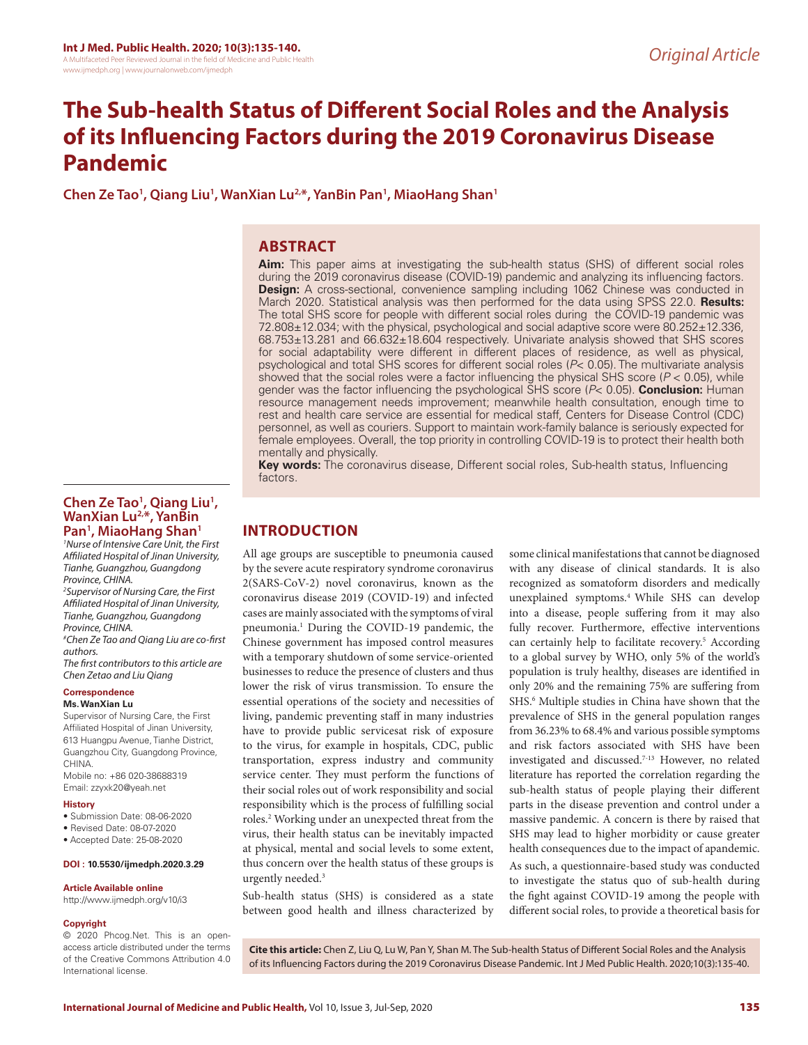# **The Sub-health Status of Different Social Roles and the Analysis of its Influencing Factors during the 2019 Coronavirus Disease Pandemic**

**Chen Ze Tao1 , Qiang Liu1 , WanXian Lu2,\*, YanBin Pan1 , MiaoHang Shan1**

# **ABSTRACT**

**Aim:** This paper aims at investigating the sub-health status (SHS) of different social roles during the 2019 coronavirus disease (COVID-19) pandemic and analyzing its influencing factors. **Design:** A cross-sectional, convenience sampling including 1062 Chinese was conducted in March 2020. Statistical analysis was then performed for the data using SPSS 22.0. **Results:**  The total SHS score for people with different social roles during the COVID-19 pandemic was 72.808±12.034; with the physical, psychological and social adaptive score were 80.252±12.336, 68.753±13.281 and 66.632±18.604 respectively. Univariate analysis showed that SHS scores for social adaptability were different in different places of residence, as well as physical, psychological and total SHS scores for different social roles (*P*< 0.05). The multivariate analysis showed that the social roles were a factor influencing the physical SHS score (*P* < 0.05), while gender was the factor influencing the psychological SHS score (*P*< 0.05). **Conclusion:** Human resource management needs improvement; meanwhile health consultation, enough time to rest and health care service are essential for medical staff, Centers for Disease Control (CDC) personnel, as well as couriers. Support to maintain work-family balance is seriously expected for female employees. Overall, the top priority in controlling COVID-19 is to protect their health both mentally and physically.

**Key words:** The coronavirus disease, Different social roles, Sub-health status, Influencing factors.

### **Chen Ze Tao1 , Qiang Liu1 , WanXian Lu2,\*, YanBin Pan1 , MiaoHang Shan1**

*1 Nurse of Intensive Care Unit, the First Affiliated Hospital of Jinan University, Tianhe, Guangzhou, Guangdong Province, CHINA.* 

*2 Supervisor of Nursing Care, the First Affiliated Hospital of Jinan University, Tianhe, Guangzhou, Guangdong Province, CHINA.*

*# Chen Ze Tao and Qiang Liu are co-first authors.*

*The first contributors to this article are Chen Zetao and Liu Qiang*

#### **Correspondence**

#### **Ms. WanXian Lu**

Supervisor of Nursing Care, the First Affiliated Hospital of Jinan University, 613 Huangpu Avenue, Tianhe District, Guangzhou City, Guangdong Province, CHINA.

Mobile no: +86 020-38688319 Email: zzyxk20@yeah.net

#### **History**

- Submission Date: 08-06-2020
- Revised Date: 08-07-2020
- Accepted Date: 25-08-2020

### **DOI : 10.5530/ijmedph.2020.3.29**

#### **Article Available online**

http://www.ijmedph.org/v10/i3

#### **Copyright**

© 2020 Phcog.Net. This is an openaccess article distributed under the terms of the Creative Commons Attribution 4.0 International license.

**INTRODUCTION**

All age groups are susceptible to pneumonia caused by the severe acute respiratory syndrome coronavirus 2(SARS-CoV-2) novel coronavirus, known as the coronavirus disease 2019 (COVID-19) and infected cases are mainly associated with the symptoms of viral pneumonia.<sup>1</sup> During the COVID-19 pandemic, the Chinese government has imposed control measures with a temporary shutdown of some service-oriented businesses to reduce the presence of clusters and thus lower the risk of virus transmission. To ensure the essential operations of the society and necessities of living, pandemic preventing staff in many industries have to provide public servicesat risk of exposure to the virus, for example in hospitals, CDC, public transportation, express industry and community service center. They must perform the functions of their social roles out of work responsibility and social responsibility which is the process of fulfilling social roles.2 Working under an unexpected threat from the virus, their health status can be inevitably impacted at physical, mental and social levels to some extent, thus concern over the health status of these groups is urgently needed.<sup>3</sup>

Sub-health status (SHS) is considered as a state between good health and illness characterized by

some clinical manifestations that cannot be diagnosed with any disease of clinical standards. It is also recognized as somatoform disorders and medically unexplained symptoms.4 While SHS can develop into a disease, people suffering from it may also fully recover. Furthermore, effective interventions can certainly help to facilitate recovery.<sup>5</sup> According to a global survey by WHO, only 5% of the world's population is truly healthy, diseases are identified in only 20% and the remaining 75% are suffering from SHS.<sup>6</sup> Multiple studies in China have shown that the prevalence of SHS in the general population ranges from 36.23% to 68.4% and various possible symptoms and risk factors associated with SHS have been investigated and discussed.7-13 However, no related literature has reported the correlation regarding the sub-health status of people playing their different parts in the disease prevention and control under a massive pandemic. A concern is there by raised that SHS may lead to higher morbidity or cause greater health consequences due to the impact of apandemic. As such, a questionnaire-based study was conducted to investigate the status quo of sub-health during the fight against COVID-19 among the people with different social roles, to provide a theoretical basis for

**Cite this article:** Chen Z, Liu Q, Lu W, Pan Y, Shan M. The Sub-health Status of Different Social Roles and the Analysis of its Influencing Factors during the 2019 Coronavirus Disease Pandemic. Int J Med Public Health. 2020;10(3):135-40.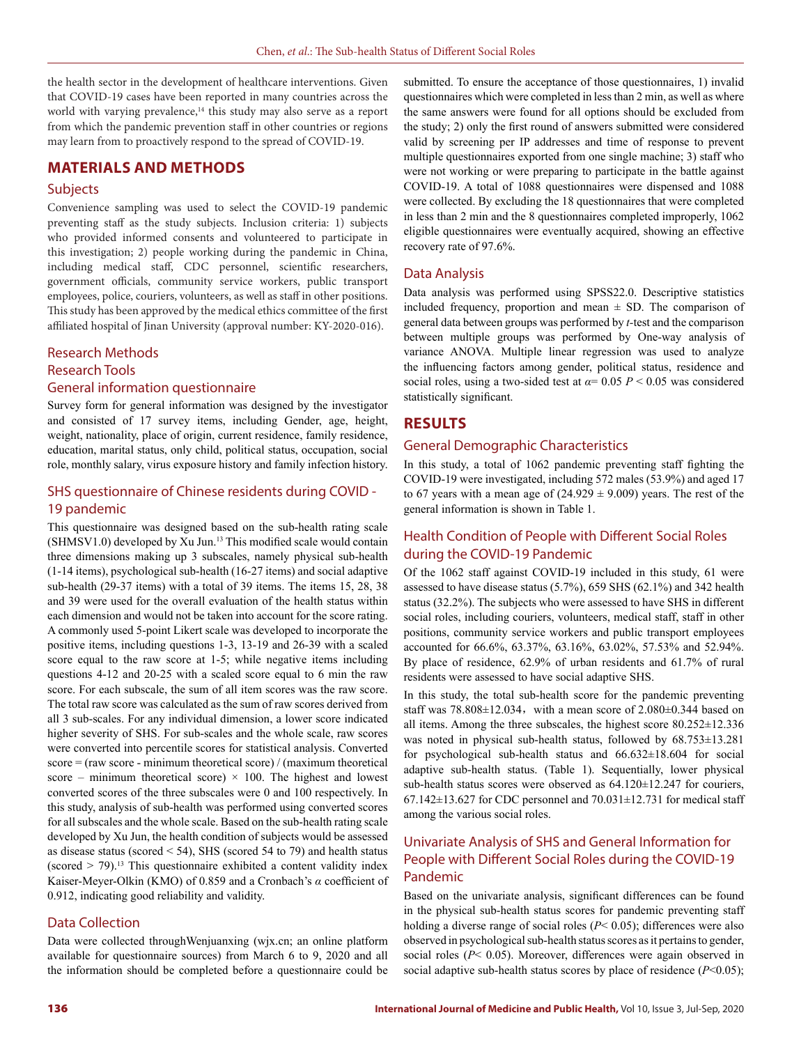the health sector in the development of healthcare interventions. Given that COVID-19 cases have been reported in many countries across the world with varying prevalence,<sup>14</sup> this study may also serve as a report from which the pandemic prevention staff in other countries or regions may learn from to proactively respond to the spread of COVID-19.

# **MATERIALS AND METHODS**

### **Subjects**

Convenience sampling was used to select the COVID-19 pandemic preventing staff as the study subjects. Inclusion criteria: 1) subjects who provided informed consents and volunteered to participate in this investigation; 2) people working during the pandemic in China, including medical staff, CDC personnel, scientific researchers, government officials, community service workers, public transport employees, police, couriers, volunteers, as well as staff in other positions. This study has been approved by the medical ethics committee of the first affiliated hospital of Jinan University (approval number: KY-2020-016).

### Research Methods

# Research Tools General information questionnaire

Survey form for general information was designed by the investigator and consisted of 17 survey items, including Gender, age, height, weight, nationality, place of origin, current residence, family residence, education, marital status, only child, political status, occupation, social role, monthly salary, virus exposure history and family infection history.

### SHS questionnaire of Chinese residents during COVID - 19 pandemic

This questionnaire was designed based on the sub-health rating scale (SHMSV1.0) developed by Xu Jun.<sup>13</sup> This modified scale would contain three dimensions making up 3 subscales, namely physical sub-health (1-14 items), psychological sub-health (16-27 items) and social adaptive sub-health (29-37 items) with a total of 39 items. The items 15, 28, 38 and 39 were used for the overall evaluation of the health status within each dimension and would not be taken into account for the score rating. A commonly used 5-point Likert scale was developed to incorporate the positive items, including questions 1-3, 13-19 and 26-39 with a scaled score equal to the raw score at 1-5; while negative items including questions 4-12 and 20-25 with a scaled score equal to 6 min the raw score. For each subscale, the sum of all item scores was the raw score. The total raw score was calculated as the sum of raw scores derived from all 3 sub-scales. For any individual dimension, a lower score indicated higher severity of SHS. For sub-scales and the whole scale, raw scores were converted into percentile scores for statistical analysis. Converted  $score = (raw score - minimum theoretical score) / (maximum theoretical$ score – minimum theoretical score)  $\times$  100. The highest and lowest converted scores of the three subscales were 0 and 100 respectively. In this study, analysis of sub-health was performed using converted scores for all subscales and the whole scale. Based on the sub-health rating scale developed by Xu Jun, the health condition of subjects would be assessed as disease status (scored < 54), SHS (scored 54 to 79) and health status (scored  $>$  79).<sup>13</sup> This questionnaire exhibited a content validity index Kaiser-Meyer-Olkin (KMO) of 0.859 and a Cronbach's *α* coefficient of 0.912, indicating good reliability and validity.

### Data Collection

Data were collected throughWenjuanxing (wjx.cn; an online platform available for questionnaire sources) from March 6 to 9, 2020 and all the information should be completed before a questionnaire could be submitted. To ensure the acceptance of those questionnaires, 1) invalid questionnaires which were completed in less than 2 min, as well as where the same answers were found for all options should be excluded from the study; 2) only the first round of answers submitted were considered valid by screening per IP addresses and time of response to prevent multiple questionnaires exported from one single machine; 3) staff who were not working or were preparing to participate in the battle against COVID-19. A total of 1088 questionnaires were dispensed and 1088 were collected. By excluding the 18 questionnaires that were completed in less than 2 min and the 8 questionnaires completed improperly, 1062 eligible questionnaires were eventually acquired, showing an effective recovery rate of 97.6%.

### Data Analysis

Data analysis was performed using SPSS22.0. Descriptive statistics included frequency, proportion and mean  $\pm$  SD. The comparison of general data between groups was performed by *t-*test and the comparison between multiple groups was performed by One-way analysis of variance ANOVA. Multiple linear regression was used to analyze the influencing factors among gender, political status, residence and social roles, using a two-sided test at  $\alpha$ = 0.05 *P* < 0.05 was considered statistically significant.

# **RESULTS**

### General Demographic Characteristics

In this study, a total of 1062 pandemic preventing staff fighting the COVID-19 were investigated, including 572 males (53.9%) and aged 17 to 67 years with a mean age of  $(24.929 \pm 9.009)$  years. The rest of the general information is shown in Table 1.

# Health Condition of People with Different Social Roles during the COVID-19 Pandemic

Of the 1062 staff against COVID-19 included in this study, 61 were assessed to have disease status (5.7%), 659 SHS (62.1%) and 342 health status (32.2%). The subjects who were assessed to have SHS in different social roles, including couriers, volunteers, medical staff, staff in other positions, community service workers and public transport employees accounted for 66.6%, 63.37%, 63.16%, 63.02%, 57.53% and 52.94%. By place of residence, 62.9% of urban residents and 61.7% of rural residents were assessed to have social adaptive SHS.

In this study, the total sub-health score for the pandemic preventing staff was  $78.808 \pm 12.034$ , with a mean score of  $2.080 \pm 0.344$  based on all items. Among the three subscales, the highest score 80.252±12.336 was noted in physical sub-health status, followed by 68.753±13.281 for psychological sub-health status and 66.632±18.604 for social adaptive sub-health status. (Table 1). Sequentially, lower physical sub-health status scores were observed as 64.120±12.247 for couriers, 67.142 $\pm$ 13.627 for CDC personnel and 70.031 $\pm$ 12.731 for medical staff among the various social roles.

# Univariate Analysis of SHS and General Information for People with Different Social Roles during the COVID-19 Pandemic

Based on the univariate analysis, significant differences can be found in the physical sub-health status scores for pandemic preventing staff holding a diverse range of social roles (*P*< 0.05); differences were also observed in psychological sub-health status scores as it pertains to gender, social roles (*P*< 0.05). Moreover, differences were again observed in social adaptive sub-health status scores by place of residence (*P*<0.05);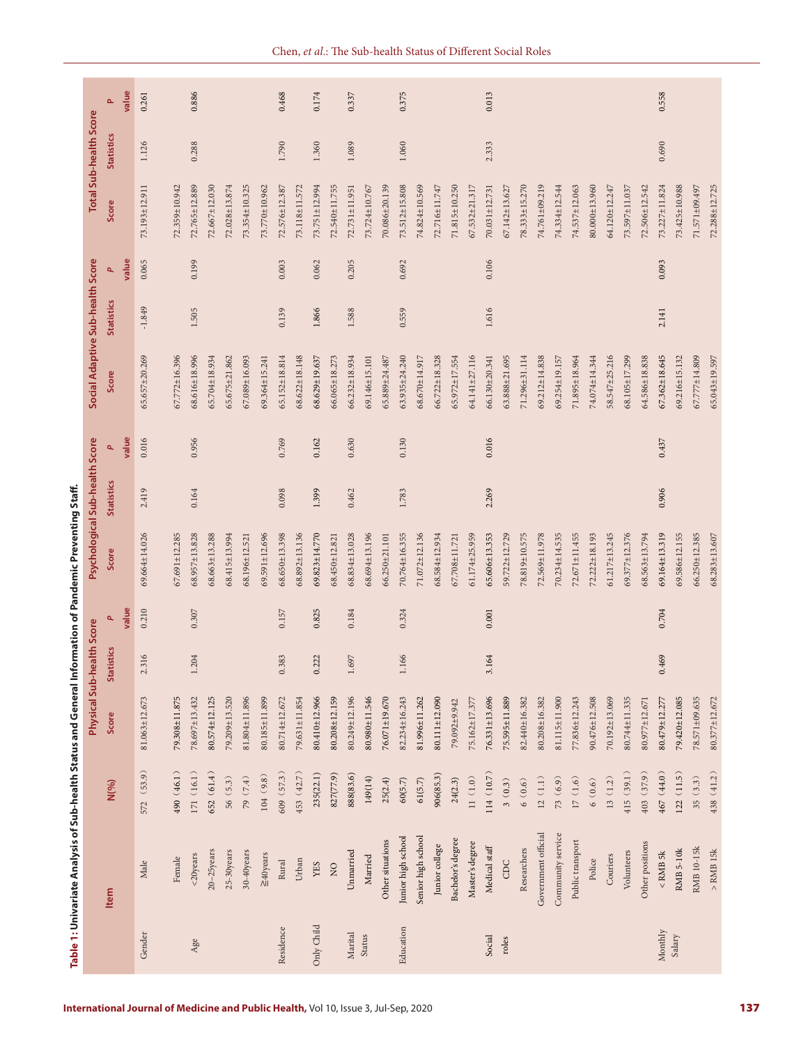|                               |                     |            | Physical Sub-heal   | th Score          |       | Psychological Sub-health Score |                   |       |                     | Social Adaptive Sub-health Score |       | Total Sub-health Score |                   |       |
|-------------------------------|---------------------|------------|---------------------|-------------------|-------|--------------------------------|-------------------|-------|---------------------|----------------------------------|-------|------------------------|-------------------|-------|
|                               | Item                | N(%)       | Score               | <b>Statistics</b> | a,    | Score                          | <b>Statistics</b> | ۹     | Score               | <b>Statistics</b>                | ۹     | Score                  | <b>Statistics</b> |       |
|                               |                     |            |                     |                   | value |                                |                   | value |                     |                                  | value |                        |                   | value |
| Gender                        | Male                | 572 (53.9) | 81.063±12.673       | 2.316             | 0.210 | $69.664 \pm 14.026$            | 2.419             | 0.016 | 65.657±20.269       | $-1.849$                         | 0.065 | 73.193±12.911          | 1.126             | 0.261 |
|                               | Female              | 490 (46.1) | 79.308±11.875       |                   |       | $67.691 \pm 12.285$            |                   |       | 67.772±16.396       |                                  |       | 72.359±10.942          |                   |       |
| Age                           | <20years            | 171(16.1)  | 78.697±13.432       | 1.204             | 0.307 | $68.957 \pm 13.828$            | 0.164             | 0.956 | 68.616±18.996       | 1.505                            | 0.199 | 72.765±12.889          | 0.288             | 0.886 |
|                               | $20-25$ years       | 652(61.4)  | 80.574±12.125       |                   |       | 68.663±13.288                  |                   |       | 65.704±18.934       |                                  |       | $72.667 \pm 12.030$    |                   |       |
|                               | 25-30years          | 56 (5.3)   | 79.209±13.520       |                   |       | 68.415±13.994                  |                   |       | 65.675±21.862       |                                  |       | $72.028 \pm 13.874$    |                   |       |
|                               | 30-40years          | 79(7.4)    | 81.804±11.896       |                   |       | 68.196±12.521                  |                   |       | 67.089±16.093       |                                  |       | 73.354±10.325          |                   |       |
|                               | $\geq$ 40years      | 104(9.8)   | 80.185±11.899       |                   |       | $69.591 \pm 12.696$            |                   |       | 69.364±15.241       |                                  |       | 73.770±10.962          |                   |       |
| Residence                     | Rural               | 609 (57.3) | 80.714±12.672       | 0.383             | 0.157 | 68.650±13.398                  | 0.098             | 0.769 | 65.152±18.814       | 0.139                            | 0.003 | 72.576±12.387          | 1.790             | 0.468 |
|                               | Urban               | 453 (42.7) | 79.631±11.854       |                   |       | 68.892±13.136                  |                   |       | 58.622±18.148       |                                  |       | 73.118±11.572          |                   |       |
| Only Child                    | YES                 | 235(22.1)  | 80.410±12.966       | 0.222             | 0.825 | $69.823 \pm 14.770$            | 1.399             | 0.162 | 68.629±19.637       | 1.866                            | 0.062 | 73.751±12.994          | 1.360             | 0.174 |
|                               | $\overline{Q}$      | 827(77.9)  | $80.208 \pm 12.159$ |                   |       | 68.450±12.821                  |                   |       | 66.065±18.273       |                                  |       | 72.540±11.755          |                   |       |
| $\label{eq:2} \text{Marital}$ | Unmarried           | 888(83.6)  | 80.249±12.196       | 1.697             | 0.184 | 68.834±13.028                  | 0.462             | 0.630 | 66.232±18.934       | 1.588                            | 0.205 | 72.731±11.951          | 1.089             | 0.337 |
| Status                        | Married             | 149(14)    | 80.980±11.546       |                   |       | 68.694±13.196                  |                   |       | 69.146±15.101       |                                  |       | 73.724±10.767          |                   |       |
|                               | Other situations    | 25(2.4)    | 76.071±19.670       |                   |       | 66.250±21.101                  |                   |       | 65.889±24.487       |                                  |       | $70.086 \pm 20.139$    |                   |       |
| Education                     | Junior high school  | 60(5.7)    | 82.234±16.243       | 1.166             | 0.324 | 70.764±16.355                  | 1.783             | 0.130 | 63.935±24.240       | 0.559                            | 0.692 | 73.512±15.808          | 1.060             | 0.375 |
|                               | Senior high school  | 61(5.7)    | 81.996±11.262       |                   |       | $71.072 \pm 12.136$            |                   |       | 68.670±14.917       |                                  |       | 74.824±10.569          |                   |       |
|                               | Junior college      | 906(85.3)  | 80.111±12.090       |                   |       | 68.584±12.934                  |                   |       | 66.722±18.328       |                                  |       | 72.716±11.747          |                   |       |
|                               | Bachelor's degree   | 24(2.3)    | 79.092±9.942        |                   |       | 67.708±11.721                  |                   |       | 65.972±17.554       |                                  |       | 71.815±10.250          |                   |       |
|                               | Master's degree     | 11(1.0)    | 75.162±17.377       |                   |       | 61.174±25.959                  |                   |       | 54.141±27.116       |                                  |       | 67.532±21.317          |                   |       |
| Social                        | Medical staff       | 114(10.7)  | 76.331±13.696       | 3.164             | 0.001 | 65.606±13.353                  | 2.269             | 0.016 | 66.130±20.341       | 1.616                            | 0.106 | 70.031±12.731          | 2.333             | 0.013 |
| roles                         | CDC                 | 3(0.3)     | 75.595±11.889       |                   |       | 59.722±12.729                  |                   |       | 63.888±21.695       |                                  |       | 67.142±13.627          |                   |       |
|                               | Researchers         | 6(0.6)     | 82.440±16.382       |                   |       | 78.819±10.575                  |                   |       | 71.296±31.114       |                                  |       | $78.333 \pm 15.270$    |                   |       |
|                               | Government official | $12(1.1)$  | 80.208±16.382       |                   |       | 72.569±11.978                  |                   |       | 69.212±14.838       |                                  |       | 74.761±09.219          |                   |       |
|                               | Community service   | 73(6.9)    | 81.115±11.900       |                   |       | $70.234 \pm 14.535$            |                   |       | 69.254±19.157       |                                  |       | 74.334±12.544          |                   |       |
|                               | Public transport    | 17(1.6)    | 77.836±12.243       |                   |       | $72.671 \pm 11.455$            |                   |       | 71.895±18.964       |                                  |       | 74.537±12.063          |                   |       |
|                               | Police              | 6(0.6)     | 90.476±12.508       |                   |       | 72.222±18.193                  |                   |       | 74.074±14.344       |                                  |       | $80.000 \pm 13.960$    |                   |       |
|                               | Couriers            | 13(1.2)    | 70.192±13.069       |                   |       | $61.217 \pm 13.245$            |                   |       | 58.547±25.216       |                                  |       | 64.120±12.247          |                   |       |
|                               | Volunteers          | 415(39.1)  | 80.744±11.335       |                   |       | 69.377±12.376                  |                   |       | 68.105±17.299       |                                  |       | 73.597±11.037          |                   |       |
|                               | Other positions     | 403(37.9)  | 80.977±12.671       |                   |       | 68.563±13.794                  |                   |       | 64.586±18.838       |                                  |       | 72.506±12.542          |                   |       |
| Monthly                       | $<$ RMB 5<br>k $\,$ | 467 (44.0) | 80.479±12.277       | 0.469             | 0.704 | 69.164±13.319                  | 0.906             | 0.437 | $67.362 \pm 18.645$ | 2.141                            | 0.093 | 73.227±11.824          | 0.690             | 0.558 |
| Salary                        | <b>RMB 5-10k</b>    | 122(11.5)  | 79.420±12.085       |                   |       | 69.586±12.155                  |                   |       | 69.216±15.132       |                                  |       | 73.425±10.988          |                   |       |
|                               | RMB 10-15k          | 35(3.3)    | 78.571±09.635       |                   |       | $66.250 \pm 12.385$            |                   |       | 67.777±14.809       |                                  |       | 71.571±09.497          |                   |       |
|                               | $>$ RMB 15<br>k     | 438(41.2)  | 80.377±12.672       |                   |       | $68.283 \pm 13.607$            |                   |       | 65.043±19.597       |                                  |       | $72.288 \pm 12.725$    |                   |       |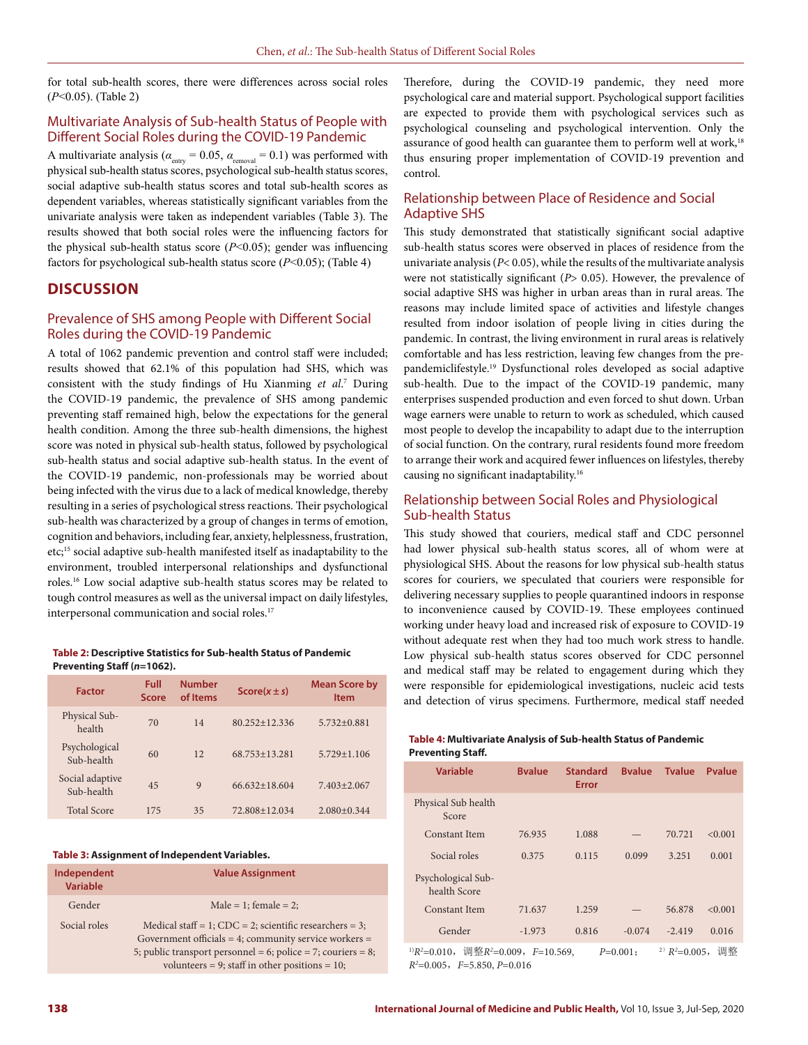for total sub-health scores, there were differences across social roles (*P*<0.05). (Table 2)

### Multivariate Analysis of Sub-health Status of People with Different Social Roles during the COVID-19 Pandemic

A multivariate analysis ( $\alpha_{\text{entry}} = 0.05$ ,  $\alpha_{\text{removal}} = 0.1$ ) was performed with physical sub-health status scores, psychological sub-health status scores, social adaptive sub-health status scores and total sub-health scores as dependent variables, whereas statistically significant variables from the univariate analysis were taken as independent variables (Table 3). The results showed that both social roles were the influencing factors for the physical sub-health status score (*P*<0.05); gender was influencing factors for psychological sub-health status score (*P*<0.05); (Table 4)

### **DISCUSSION**

### Prevalence of SHS among People with Different Social Roles during the COVID-19 Pandemic

A total of 1062 pandemic prevention and control staff were included; results showed that 62.1% of this population had SHS, which was consistent with the study findings of Hu Xianming *et al*. 7 During the COVID-19 pandemic, the prevalence of SHS among pandemic preventing staff remained high, below the expectations for the general health condition. Among the three sub-health dimensions, the highest score was noted in physical sub-health status, followed by psychological sub-health status and social adaptive sub-health status. In the event of the COVID-19 pandemic, non-professionals may be worried about being infected with the virus due to a lack of medical knowledge, thereby resulting in a series of psychological stress reactions. Their psychological sub-health was characterized by a group of changes in terms of emotion, cognition and behaviors, including fear, anxiety, helplessness, frustration, etc;15 social adaptive sub-health manifested itself as inadaptability to the environment, troubled interpersonal relationships and dysfunctional roles.16 Low social adaptive sub-health status scores may be related to tough control measures as well as the universal impact on daily lifestyles, interpersonal communication and social roles.<sup>17</sup>

#### **Table 2: Descriptive Statistics for Sub-health Status of Pandemic Preventing Staff (***n***=1062).**

| <b>Factor</b>                 | Full<br><b>Score</b> | <b>Number</b><br>of Items | $Score(x \pm s)$  | <b>Mean Score by</b><br><b>Item</b> |
|-------------------------------|----------------------|---------------------------|-------------------|-------------------------------------|
| Physical Sub-<br>health       | 70                   | 14                        | $80.252 + 12.336$ | $5.732 + 0.881$                     |
| Psychological<br>Sub-health   | 60                   | 12                        | 68.753+13.281     | $5.729 + 1.106$                     |
| Social adaptive<br>Sub-health | 45                   | 9                         | $66.632 + 18.604$ | $7.403 \pm 2.067$                   |
| <b>Total Score</b>            | 175                  | 35                        | 72.808 + 12.034   | $2.080 + 0.344$                     |

#### **Table 3: Assignment of Independent Variables.**

| Independent<br><b>Variable</b> | <b>Value Assignment</b>                                                                                                                                                                                                               |
|--------------------------------|---------------------------------------------------------------------------------------------------------------------------------------------------------------------------------------------------------------------------------------|
| Gender                         | Male = 1; female = 2;                                                                                                                                                                                                                 |
| Social roles                   | Medical staff = 1; $CDC = 2$ ; scientific researchers = 3;<br>Government officials = 4; community service workers =<br>5; public transport personnel = 6; police = 7; couriers = 8;<br>volunteers = 9; staff in other positions = 10; |

Therefore, during the COVID-19 pandemic, they need more psychological care and material support. Psychological support facilities are expected to provide them with psychological services such as psychological counseling and psychological intervention. Only the assurance of good health can guarantee them to perform well at work,<sup>18</sup> thus ensuring proper implementation of COVID-19 prevention and control.

### Relationship between Place of Residence and Social Adaptive SHS

This study demonstrated that statistically significant social adaptive sub-health status scores were observed in places of residence from the univariate analysis (*P*< 0.05), while the results of the multivariate analysis were not statistically significant (*P*> 0.05). However, the prevalence of social adaptive SHS was higher in urban areas than in rural areas. The reasons may include limited space of activities and lifestyle changes resulted from indoor isolation of people living in cities during the pandemic. In contrast, the living environment in rural areas is relatively comfortable and has less restriction, leaving few changes from the prepandemiclifestyle.19 Dysfunctional roles developed as social adaptive sub-health. Due to the impact of the COVID-19 pandemic, many enterprises suspended production and even forced to shut down. Urban wage earners were unable to return to work as scheduled, which caused most people to develop the incapability to adapt due to the interruption of social function. On the contrary, rural residents found more freedom to arrange their work and acquired fewer influences on lifestyles, thereby causing no significant inadaptability.16

### Relationship between Social Roles and Physiological Sub-health Status

This study showed that couriers, medical staff and CDC personnel had lower physical sub-health status scores, all of whom were at physiological SHS. About the reasons for low physical sub-health status scores for couriers, we speculated that couriers were responsible for delivering necessary supplies to people quarantined indoors in response to inconvenience caused by COVID-19. These employees continued working under heavy load and increased risk of exposure to COVID-19 without adequate rest when they had too much work stress to handle. Low physical sub-health status scores observed for CDC personnel and medical staff may be related to engagement during which they were responsible for epidemiological investigations, nucleic acid tests and detection of virus specimens. Furthermore, medical staff needed

#### **Table 4: Multivariate Analysis of Sub-health Status of Pandemic Preventing Staff.**

| <b>Variable</b>                    | <b>Byalue</b> | <b>Standard</b><br>Error | <b>Byalue</b> | <b>Tvalue</b> | <b>P</b> value                         |
|------------------------------------|---------------|--------------------------|---------------|---------------|----------------------------------------|
| Physical Sub health<br>Score       |               |                          |               |               |                                        |
| Constant Item                      | 76.935        | 1.088                    |               | 70.721        | < 0.001                                |
| Social roles                       | 0.375         | 0.115                    | 0.099         | 3.251         | 0.001                                  |
| Psychological Sub-<br>health Score |               |                          |               |               |                                        |
| Constant Item                      | 71.637        | 1.259                    |               | 56.878        | < 0.001                                |
| Gender                             | $-1.973$      | 0.816                    | $-0.074$      | $-2.419$      | 0.016                                  |
| Northeast Constitution of the      |               |                          |               |               | $\sim$ and $\sim$ $\sim$ $\sim$ $\sim$ |

<sup>1)</sup>*R*<sup>2</sup>=0.010, 调整*R*<sup>2</sup>=0.009, *F*=10.569, *P*=0.001; <sup>2)</sup>*R*<sup>2</sup>  $2)$   $R^2$ =0.005, 调整 *R2* =0.005,*F*=5.850, *P*=0.016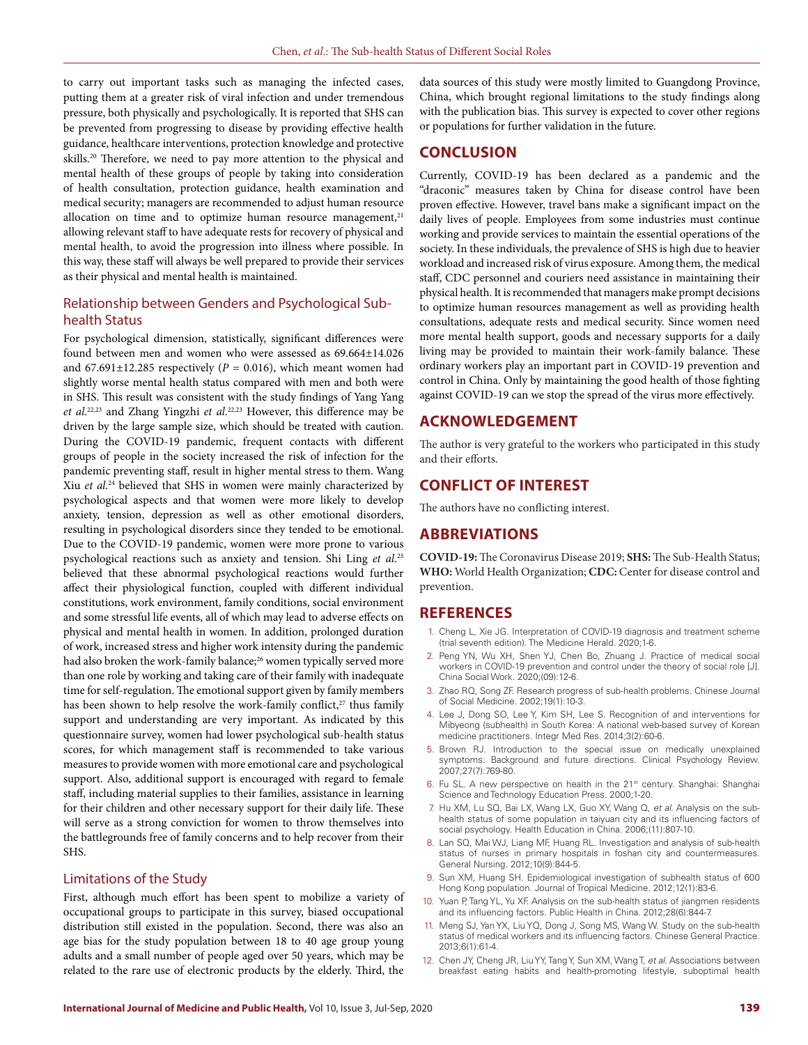to carry out important tasks such as managing the infected cases, putting them at a greater risk of viral infection and under tremendous pressure, both physically and psychologically. It is reported that SHS can be prevented from progressing to disease by providing effective health guidance, healthcare interventions, protection knowledge and protective skills.<sup>20</sup> Therefore, we need to pay more attention to the physical and mental health of these groups of people by taking into consideration of health consultation, protection guidance, health examination and medical security; managers are recommended to adjust human resource allocation on time and to optimize human resource management,<sup>21</sup> allowing relevant staff to have adequate rests for recovery of physical and mental health, to avoid the progression into illness where possible. In this way, these staff will always be well prepared to provide their services as their physical and mental health is maintained.

# Relationship between Genders and Psychological Subhealth Status

For psychological dimension, statistically, significant differences were found between men and women who were assessed as 69.664±14.026 and  $67.691 \pm 12.285$  respectively ( $P = 0.016$ ), which meant women had slightly worse mental health status compared with men and both were in SHS. This result was consistent with the study findings of Yang Yang *et al*. 22,23 and Zhang Yingzhi *et al*. 22,23 However, this difference may be driven by the large sample size, which should be treated with caution. During the COVID-19 pandemic, frequent contacts with different groups of people in the society increased the risk of infection for the pandemic preventing staff, result in higher mental stress to them. Wang Xiu *et al*. 24 believed that SHS in women were mainly characterized by psychological aspects and that women were more likely to develop anxiety, tension, depression as well as other emotional disorders, resulting in psychological disorders since they tended to be emotional. Due to the COVID-19 pandemic, women were more prone to various psychological reactions such as anxiety and tension. Shi Ling *et al*. 25 believed that these abnormal psychological reactions would further affect their physiological function, coupled with different individual constitutions, work environment, family conditions, social environment and some stressful life events, all of which may lead to adverse effects on physical and mental health in women. In addition, prolonged duration of work, increased stress and higher work intensity during the pandemic had also broken the work-family balance;<sup>26</sup> women typically served more than one role by working and taking care of their family with inadequate time for self-regulation. The emotional support given by family members has been shown to help resolve the work-family conflict,<sup>27</sup> thus family support and understanding are very important. As indicated by this questionnaire survey, women had lower psychological sub-health status scores, for which management staff is recommended to take various measures to provide women with more emotional care and psychological support. Also, additional support is encouraged with regard to female staff, including material supplies to their families, assistance in learning for their children and other necessary support for their daily life. These will serve as a strong conviction for women to throw themselves into the battlegrounds free of family concerns and to help recover from their SHS.

### Limitations of the Study

First, although much effort has been spent to mobilize a variety of occupational groups to participate in this survey, biased occupational distribution still existed in the population. Second, there was also an age bias for the study population between 18 to 40 age group young adults and a small number of people aged over 50 years, which may be related to the rare use of electronic products by the elderly. Third, the

data sources of this study were mostly limited to Guangdong Province, China, which brought regional limitations to the study findings along with the publication bias. This survey is expected to cover other regions or populations for further validation in the future.

### **CONCLUSION**

Currently, COVID-19 has been declared as a pandemic and the "draconic" measures taken by China for disease control have been proven effective. However, travel bans make a significant impact on the daily lives of people. Employees from some industries must continue working and provide services to maintain the essential operations of the society. In these individuals, the prevalence of SHS is high due to heavier workload and increased risk of virus exposure. Among them, the medical staff, CDC personnel and couriers need assistance in maintaining their physical health. It is recommended that managers make prompt decisions to optimize human resources management as well as providing health consultations, adequate rests and medical security. Since women need more mental health support, goods and necessary supports for a daily living may be provided to maintain their work-family balance. These ordinary workers play an important part in COVID-19 prevention and control in China. Only by maintaining the good health of those fighting against COVID-19 can we stop the spread of the virus more effectively.

### **ACKNOWLEDGEMENT**

The author is very grateful to the workers who participated in this study and their efforts.

# **CONFLICT OF INTEREST**

The authors have no conflicting interest.

### **ABBREVIATIONS**

**COVID-19:** The Coronavirus Disease 2019; **SHS:** The Sub-Health Status; **WHO:** World Health Organization; **CDC:** Center for disease control and prevention.

### **REFERENCES**

- 1. Cheng L, Xie JG. Interpretation of COVID-19 diagnosis and treatment scheme (trial seventh edition). The Medicine Herald. 2020;1-6.
- 2. Peng YN, Wu XH, Shen YJ, Chen Bo, Zhuang J. Practice of medical social workers in COVID-19 prevention and control under the theory of social role [J]. China Social Work. 2020;(09):12-6.
- 3. Zhao RQ, Song ZF. Research progress of sub-health problems. Chinese Journal of Social Medicine. 2002;19(1):10-3.
- 4. Lee J, Dong SO, Lee Y, Kim SH, Lee S. Recognition of and interventions for Mibyeong (subhealth) in South Korea: A national web-based survey of Korean medicine practitioners. Integr Med Res. 2014;3(2):60-6.
- 5. Brown RJ. Introduction to the special issue on medically unexplained symptoms: Background and future directions. Clinical Psychology Review. 2007;27(7):769-80.
- 6. Fu SL. A new perspective on health in the 21<sup>st</sup> century. Shanghai: Shanghai Science and Technology Education Press. 2000;1-20.
- 7. Hu XM, Lu SQ, Bai LX, Wang LX, Guo XY, Wang Q, *et al*. Analysis on the subhealth status of some population in taiyuan city and its influencing factors of social psychology. Health Education in China. 2006;(11):807-10.
- 8. Lan SQ, Mai WJ, Liang MF, Huang RL. Investigation and analysis of sub-health status of nurses in primary hospitals in foshan city and countermeasures. General Nursing. 2012;10(9):844-5.
- 9. Sun XM, Huang SH. Epidemiological investigation of subhealth status of 600 Hong Kong population. Journal of Tropical Medicine. 2012;12(1):83-6.
- 10. Yuan P, Tang YL, Yu XF. Analysis on the sub-health status of jiangmen residents and its influencing factors. Public Health in China. 2012;28(6):844-7.
- 11. Meng SJ, Yan YX, Liu YQ, Dong J, Song MS, Wang W. Study on the sub-health status of medical workers and its influencing factors. Chinese General Practice. 2013;6(1):61-4.
- 12. Chen JY, Cheng JR, Liu YY, Tang Y, Sun XM, Wang T, *et al*. Associations between breakfast eating habits and health-promoting lifestyle, suboptimal health